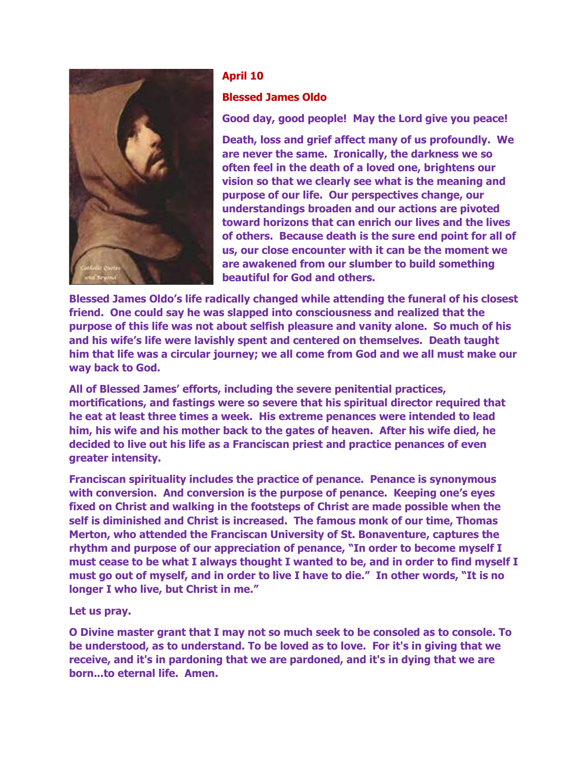

## **April 10**

## **Blessed James Oldo**

**Good day, good people! May the Lord give you peace!**

**Death, loss and grief affect many of us profoundly. We are never the same. Ironically, the darkness we so often feel in the death of a loved one, brightens our vision so that we clearly see what is the meaning and purpose of our life. Our perspectives change, our understandings broaden and our actions are pivoted toward horizons that can enrich our lives and the lives of others. Because death is the sure end point for all of us, our close encounter with it can be the moment we are awakened from our slumber to build something beautiful for God and others.**

**Blessed James Oldo's life radically changed while attending the funeral of his closest friend. One could say he was slapped into consciousness and realized that the purpose of this life was not about selfish pleasure and vanity alone. So much of his and his wife's life were lavishly spent and centered on themselves. Death taught him that life was a circular journey; we all come from God and we all must make our way back to God.** 

**All of Blessed James' efforts, including the severe penitential practices, mortifications, and fastings were so severe that his spiritual director required that he eat at least three times a week. His extreme penances were intended to lead him, his wife and his mother back to the gates of heaven. After his wife died, he decided to live out his life as a Franciscan priest and practice penances of even greater intensity.**

**Franciscan spirituality includes the practice of penance. Penance is synonymous with conversion. And conversion is the purpose of penance. Keeping one's eyes fixed on Christ and walking in the footsteps of Christ are made possible when the self is diminished and Christ is increased. The famous monk of our time, Thomas Merton, who attended the Franciscan University of St. Bonaventure, captures the rhythm and purpose of our appreciation of penance, "In order to become myself I must cease to be what I always thought I wanted to be, and in order to find myself I must go out of myself, and in order to live I have to die." In other words, "It is no longer I who live, but Christ in me."**

**Let us pray.**

**O Divine master grant that I may not so much seek to be consoled as to console. To be understood, as to understand. To be loved as to love. For it's in giving that we receive, and it's in pardoning that we are pardoned, and it's in dying that we are born...to eternal life. Amen.**